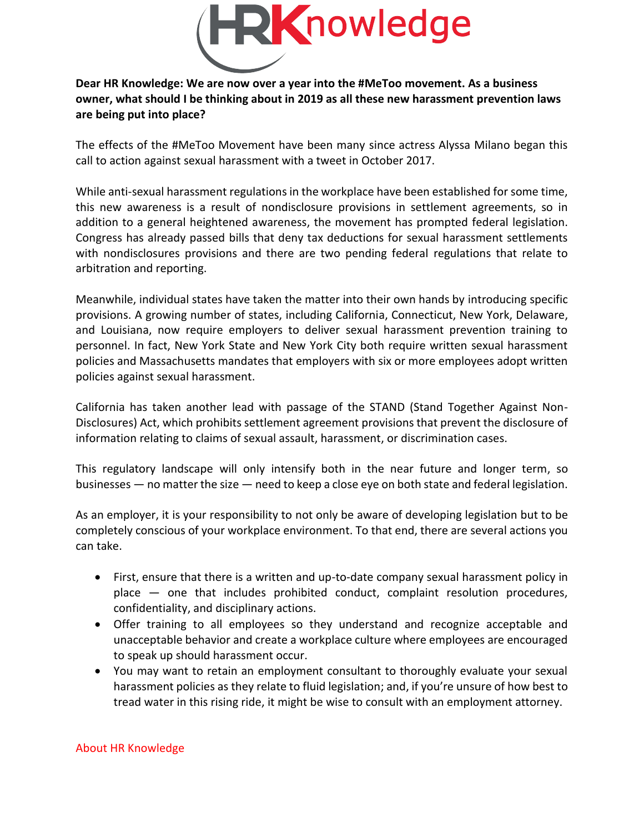

## **Dear HR Knowledge: We are now over a year into the #MeToo movement. As a business owner, what should I be thinking about in 2019 as all these new harassment prevention laws are being put into place?**

The effects of the #MeToo Movement have been many since actress Alyssa Milano began this call to action against sexual harassment with a tweet in October 2017.

While anti-sexual harassment regulations in the workplace have been established for some time, this new awareness is a result of nondisclosure provisions in settlement agreements, so in addition to a general heightened awareness, the movement has prompted federal legislation. Congress has already passed bills that deny tax deductions for sexual harassment settlements with nondisclosures provisions and there are two pending federal regulations that relate to arbitration and reporting.

Meanwhile, individual states have taken the matter into their own hands by introducing specific provisions. A growing number of states, including California, Connecticut, New York, Delaware, and Louisiana, now require employers to deliver sexual harassment prevention training to personnel. In fact, New York State and New York City both require written sexual harassment policies and Massachusetts mandates that employers with six or more employees adopt written policies against sexual harassment.

California has taken another lead with passage of the STAND (Stand Together Against Non-Disclosures) Act, which prohibits settlement agreement provisions that prevent the disclosure of information relating to claims of sexual assault, harassment, or discrimination cases.

This regulatory landscape will only intensify both in the near future and longer term, so businesses — no matter the size — need to keep a close eye on both state and federal legislation.

As an employer, it is your responsibility to not only be aware of developing legislation but to be completely conscious of your workplace environment. To that end, there are several actions you can take.

- First, ensure that there is a written and up-to-date company sexual harassment policy in place — one that includes prohibited conduct, complaint resolution procedures, confidentiality, and disciplinary actions.
- Offer training to all employees so they understand and recognize acceptable and unacceptable behavior and create a workplace culture where employees are encouraged to speak up should harassment occur.
- You may want to retain an employment consultant to thoroughly evaluate your sexual harassment policies as they relate to fluid legislation; and, if you're unsure of how best to tread water in this rising ride, it might be wise to consult with an employment attorney.

## About HR Knowledge